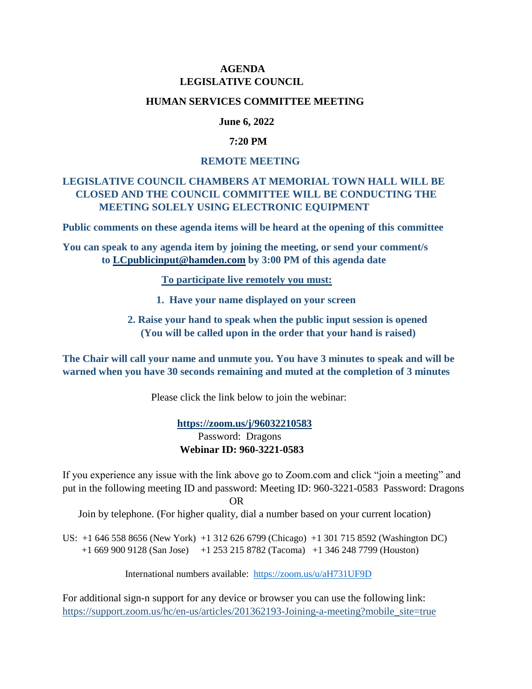## **AGENDA LEGISLATIVE COUNCIL**

#### **HUMAN SERVICES COMMITTEE MEETING**

### **June 6, 2022**

### **7:20 PM**

#### **REMOTE MEETING**

## **LEGISLATIVE COUNCIL CHAMBERS AT MEMORIAL TOWN HALL WILL BE CLOSED AND THE COUNCIL COMMITTEE WILL BE CONDUCTING THE MEETING SOLELY USING ELECTRONIC EQUIPMENT**

**Public comments on these agenda items will be heard at the opening of this committee**

**You can speak to any agenda item by joining the meeting, or send your comment/s to [LCpublicinput@hamden.com](mailto:LCpublicinput@hamden.com) by 3:00 PM of this agenda date**

 **To participate live remotely you must:**

- **1. Have your name displayed on your screen**
- **2. Raise your hand to speak when the public input session is opened (You will be called upon in the order that your hand is raised)**

**The Chair will call your name and unmute you. You have 3 minutes to speak and will be warned when you have 30 seconds remaining and muted at the completion of 3 minutes**

Please click the link below to join the webinar:

 **<https://zoom.us/j/96032210583>** Password: Dragons **Webinar ID: 960-3221-0583**

If you experience any issue with the link above go to Zoom.com and click "join a meeting" and put in the following meeting ID and password: Meeting ID: 960-3221-0583 Password: Dragons OR

Join by telephone. (For higher quality, dial a number based on your current location)

US: +1 646 558 8656 (New York) +1 312 626 6799 (Chicago) +1 301 715 8592 (Washington DC) +1 669 900 9128 (San Jose) +1 253 215 8782 (Tacoma) +1 346 248 7799 (Houston)

International numbers available: <https://zoom.us/u/aH731UF9D>

For additional sign-n support for any device or browser you can use the following link: [https://support.zoom.us/hc/en-us/articles/201362193-Joining-a-meeting?mobile\\_site=true](https://support.zoom.us/hc/en-us/articles/201362193-Joining-a-meeting?mobile_site=true)